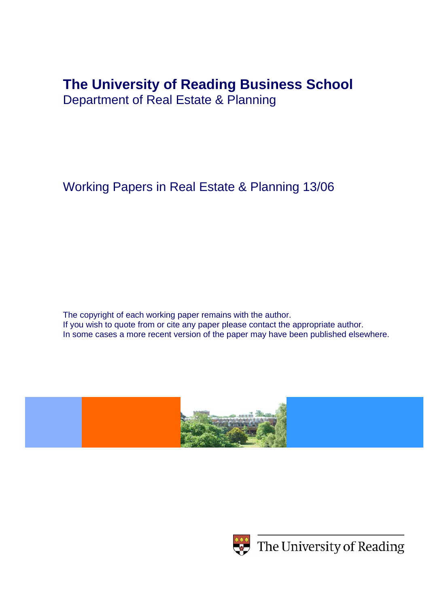# **The University of Reading Business School**

Department of Real Estate & Planning

Working Papers in Real Estate & Planning 13/06

The copyright of each working paper remains with the author. If you wish to quote from or cite any paper please contact the appropriate author. In some cases a more recent version of the paper may have been published elsewhere.





 $\leftrightarrow$  The University of Reading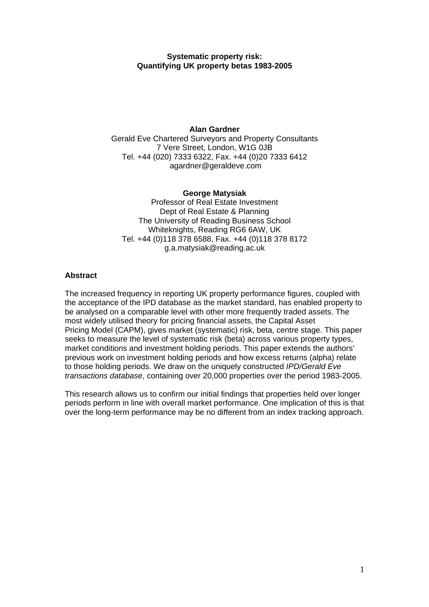# **Systematic property risk: Quantifying UK property betas 1983-2005**

## **Alan Gardner**

Gerald Eve Chartered Surveyors and Property Consultants 7 Vere Street, London, W1G 0JB Tel. +44 (020) 7333 6322, Fax. +44 (0)20 7333 6412 agardner@geraldeve.com

#### **George Matysiak**

Professor of Real Estate Investment Dept of Real Estate & Planning The University of Reading Business School Whiteknights, Reading RG6 6AW, UK Tel. +44 (0)118 378 6588, Fax. +44 (0)118 378 8172 g.a.matysiak@reading.ac.uk

#### **Abstract**

The increased frequency in reporting UK property performance figures, coupled with the acceptance of the IPD database as the market standard, has enabled property to be analysed on a comparable level with other more frequently traded assets. The most widely utilised theory for pricing financial assets, the Capital Asset Pricing Model (CAPM), gives market (systematic) risk, beta, centre stage. This paper seeks to measure the level of systematic risk (beta) across various property types, market conditions and investment holding periods. This paper extends the authors' previous work on investment holding periods and how excess returns (alpha) relate to those holding periods. We draw on the uniquely constructed *IPD/Gerald Eve transactions database*, containing over 20,000 properties over the period 1983-2005.

This research allows us to confirm our initial findings that properties held over longer periods perform in line with overall market performance. One implication of this is that over the long-term performance may be no different from an index tracking approach.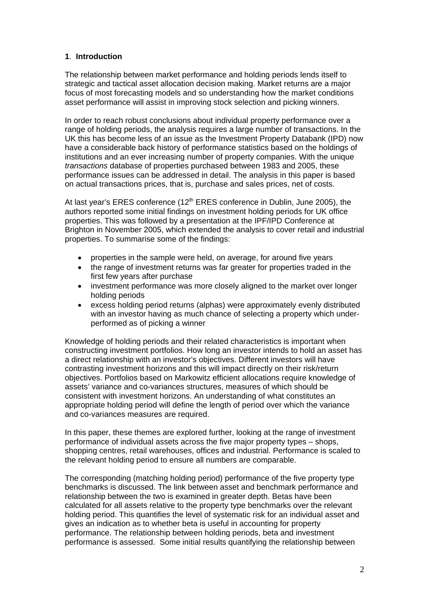# **1**. **Introduction**

The relationship between market performance and holding periods lends itself to strategic and tactical asset allocation decision making. Market returns are a major focus of most forecasting models and so understanding how the market conditions asset performance will assist in improving stock selection and picking winners.

In order to reach robust conclusions about individual property performance over a range of holding periods, the analysis requires a large number of transactions. In the UK this has become less of an issue as the Investment Property Databank (IPD) now have a considerable back history of performance statistics based on the holdings of institutions and an ever increasing number of property companies. With the unique *transactions* database of properties purchased between 1983 and 2005, these performance issues can be addressed in detail. The analysis in this paper is based on actual transactions prices, that is, purchase and sales prices, net of costs.

At last year's ERES conference (12<sup>th</sup> ERES conference in Dublin, June 2005), the authors reported some initial findings on investment holding periods for UK office properties. This was followed by a presentation at the IPF/IPD Conference at Brighton in November 2005, which extended the analysis to cover retail and industrial properties. To summarise some of the findings:

- properties in the sample were held, on average, for around five years
- the range of investment returns was far greater for properties traded in the first few years after purchase
- investment performance was more closely aligned to the market over longer holding periods
- excess holding period returns (alphas) were approximately evenly distributed with an investor having as much chance of selecting a property which underperformed as of picking a winner

Knowledge of holding periods and their related characteristics is important when constructing investment portfolios. How long an investor intends to hold an asset has a direct relationship with an investor's objectives. Different investors will have contrasting investment horizons and this will impact directly on their risk/return objectives. Portfolios based on Markowitz efficient allocations require knowledge of assets' variance and co-variances structures, measures of which should be consistent with investment horizons. An understanding of what constitutes an appropriate holding period will define the length of period over which the variance and co-variances measures are required.

In this paper, these themes are explored further, looking at the range of investment performance of individual assets across the five major property types – shops, shopping centres, retail warehouses, offices and industrial. Performance is scaled to the relevant holding period to ensure all numbers are comparable.

The corresponding (matching holding period) performance of the five property type benchmarks is discussed. The link between asset and benchmark performance and relationship between the two is examined in greater depth. Betas have been calculated for all assets relative to the property type benchmarks over the relevant holding period. This quantifies the level of systematic risk for an individual asset and gives an indication as to whether beta is useful in accounting for property performance. The relationship between holding periods, beta and investment performance is assessed. Some initial results quantifying the relationship between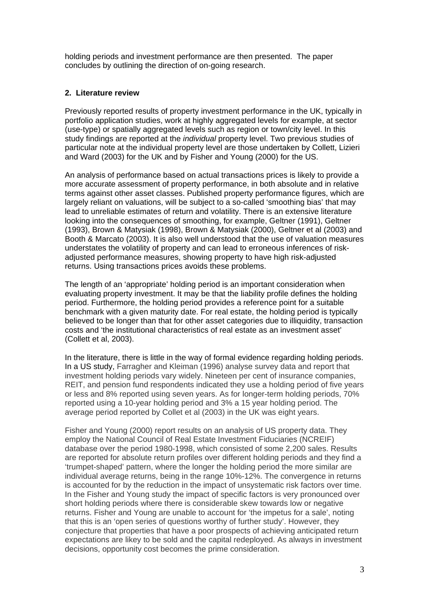holding periods and investment performance are then presented. The paper concludes by outlining the direction of on-going research.

# **2. Literature review**

Previously reported results of property investment performance in the UK, typically in portfolio application studies, work at highly aggregated levels for example, at sector (use-type) or spatially aggregated levels such as region or town/city level. In this study findings are reported at the *individual* property level. Two previous studies of particular note at the individual property level are those undertaken by Collett, Lizieri and Ward (2003) for the UK and by Fisher and Young (2000) for the US.

An analysis of performance based on actual transactions prices is likely to provide a more accurate assessment of property performance, in both absolute and in relative terms against other asset classes. Published property performance figures, which are largely reliant on valuations, will be subject to a so-called 'smoothing bias' that may lead to unreliable estimates of return and volatility. There is an extensive literature looking into the consequences of smoothing, for example, Geltner (1991), Geltner (1993), Brown & Matysiak (1998), Brown & Matysiak (2000), Geltner et al (2003) and Booth & Marcato (2003). It is also well understood that the use of valuation measures understates the volatility of property and can lead to erroneous inferences of riskadjusted performance measures, showing property to have high risk-adjusted returns. Using transactions prices avoids these problems.

The length of an 'appropriate' holding period is an important consideration when evaluating property investment. It may be that the liability profile defines the holding period. Furthermore, the holding period provides a reference point for a suitable benchmark with a given maturity date. For real estate, the holding period is typically believed to be longer than that for other asset categories due to illiquidity, transaction costs and 'the institutional characteristics of real estate as an investment asset' (Collett et al, 2003).

In the literature, there is little in the way of formal evidence regarding holding periods. In a US study, Farragher and Kleiman (1996) analyse survey data and report that investment holding periods vary widely. Nineteen per cent of insurance companies, REIT, and pension fund respondents indicated they use a holding period of five years or less and 8% reported using seven years. As for longer-term holding periods, 70% reported using a 10-year holding period and 3% a 15 year holding period. The average period reported by Collet et al (2003) in the UK was eight years.

Fisher and Young (2000) report results on an analysis of US property data. They employ the National Council of Real Estate Investment Fiduciaries (NCREIF) database over the period 1980-1998, which consisted of some 2,200 sales. Results are reported for absolute return profiles over different holding periods and they find a 'trumpet-shaped' pattern, where the longer the holding period the more similar are individual average returns, being in the range 10%-12%. The convergence in returns is accounted for by the reduction in the impact of unsystematic risk factors over time. In the Fisher and Young study the impact of specific factors is very pronounced over short holding periods where there is considerable skew towards low or negative returns. Fisher and Young are unable to account for 'the impetus for a sale', noting that this is an 'open series of questions worthy of further study'. However, they conjecture that properties that have a poor prospects of achieving anticipated return expectations are likey to be sold and the capital redeployed. As always in investment decisions, opportunity cost becomes the prime consideration.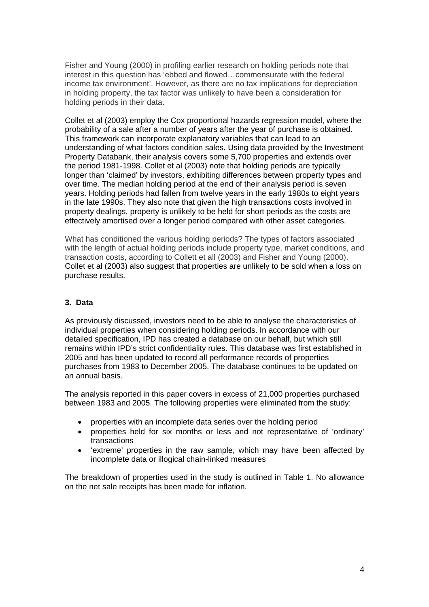Fisher and Young (2000) in profiling earlier research on holding periods note that interest in this question has 'ebbed and flowed…commensurate with the federal income tax environment'. However, as there are no tax implications for depreciation in holding property, the tax factor was unlikely to have been a consideration for holding periods in their data.

Collet et al (2003) employ the Cox proportional hazards regression model, where the probability of a sale after a number of years after the year of purchase is obtained. This framework can incorporate explanatory variables that can lead to an understanding of what factors condition sales. Using data provided by the Investment Property Databank, their analysis covers some 5,700 properties and extends over the period 1981-1998. Collet et al (2003) note that holding periods are typically longer than 'claimed' by investors, exhibiting differences between property types and over time. The median holding period at the end of their analysis period is seven years. Holding periods had fallen from twelve years in the early 1980s to eight years in the late 1990s. They also note that given the high transactions costs involved in property dealings, property is unlikely to be held for short periods as the costs are effectively amortised over a longer period compared with other asset categories.

What has conditioned the various holding periods? The types of factors associated with the length of actual holding periods include property type, market conditions, and transaction costs, according to Collett et all (2003) and Fisher and Young (2000). Collet et al (2003) also suggest that properties are unlikely to be sold when a loss on purchase results.

# **3. Data**

As previously discussed, investors need to be able to analyse the characteristics of individual properties when considering holding periods. In accordance with our detailed specification, IPD has created a database on our behalf, but which still remains within IPD's strict confidentiality rules. This database was first established in 2005 and has been updated to record all performance records of properties purchases from 1983 to December 2005. The database continues to be updated on an annual basis.

The analysis reported in this paper covers in excess of 21,000 properties purchased between 1983 and 2005. The following properties were eliminated from the study:

- properties with an incomplete data series over the holding period
- properties held for six months or less and not representative of 'ordinary' transactions
- 'extreme' properties in the raw sample, which may have been affected by incomplete data or illogical chain-linked measures

The breakdown of properties used in the study is outlined in Table 1. No allowance on the net sale receipts has been made for inflation.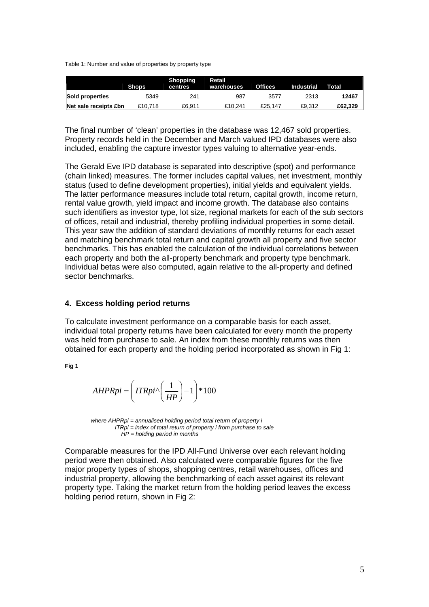Table 1: Number and value of properties by property type

|                       |              | Shopping | Retail     |                |            |         |
|-----------------------|--------------|----------|------------|----------------|------------|---------|
|                       | <b>Shops</b> | centres  | warehouses | <b>Offices</b> | Industrial | Total   |
| Sold properties       | 5349         | 241      | 987        | 3577           | 2313       | 12467   |
| Net sale receipts £bn | £10,718      | £6.911   | £10.241    | £25.147        | £9.312     | £62.329 |

The final number of 'clean' properties in the database was 12,467 sold properties. Property records held in the December and March valued IPD databases were also included, enabling the capture investor types valuing to alternative year-ends.

The Gerald Eve IPD database is separated into descriptive (spot) and performance (chain linked) measures. The former includes capital values, net investment, monthly status (used to define development properties), initial yields and equivalent yields. The latter performance measures include total return, capital growth, income return, rental value growth, yield impact and income growth. The database also contains such identifiers as investor type, lot size, regional markets for each of the sub sectors of offices, retail and industrial, thereby profiling individual properties in some detail. This year saw the addition of standard deviations of monthly returns for each asset and matching benchmark total return and capital growth all property and five sector benchmarks. This has enabled the calculation of the individual correlations between each property and both the all-property benchmark and property type benchmark. Individual betas were also computed, again relative to the all-property and defined sector benchmarks.

## **4. Excess holding period returns**

To calculate investment performance on a comparable basis for each asset, individual total property returns have been calculated for every month the property was held from purchase to sale. An index from these monthly returns was then obtained for each property and the holding period incorporated as shown in Fig 1:

**Fig 1** 

$$
AHPRpi = \left( ITRpi \sqrt{\frac{1}{HP}} \right) - 1 \right) * 100
$$

 *where AHPRpi = annualised holding period total return of property i ITRpi = index of total return of property i from purchase to sale HP = holding period in months*

Comparable measures for the IPD All-Fund Universe over each relevant holding period were then obtained. Also calculated were comparable figures for the five major property types of shops, shopping centres, retail warehouses, offices and industrial property, allowing the benchmarking of each asset against its relevant property type. Taking the market return from the holding period leaves the excess holding period return, shown in Fig 2: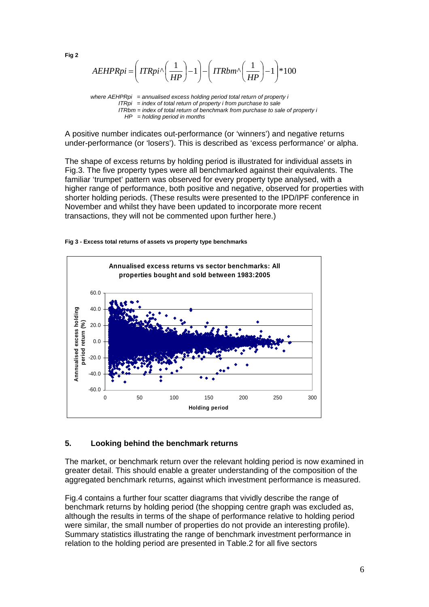$\sqrt{\left(\frac{1}{HP}\right)}-1$   $\left(\frac{ITRbm}{\sqrt{\frac{1}{HP}}}\right) - 1$   $*100$  $-1$  \*100 ⎠ ⎝  $\left(1-\frac{1}{\mu}\right)$  – ⎠  $\Bigg) - \Big( ITRbm^{\wedge} \Big($  $\left( ITRpi^{\wedge}\left( \frac{1}{HP}\right) -1 \right)$  $\mathsf I$ ⎝  $\left( ITRpi^{\wedge} \left( \frac{1}{\Delta E} \right) \right)$  $AEHPRpi = \left( ITRpi \sqrt{\frac{1}{HP}} \right) - 1 \right) - \left( ITRbm \sqrt{\frac{1}{HP}} \right) - 1 \right) * 100$ ⎝

*where AEHPRpi = annualised excess holding period total return of property i ITRpi = index of total return of property i from purchase to sale ITRbm = index of total return of benchmark from purchase to sale of property i HP = holding period in months*

A positive number indicates out-performance (or 'winners') and negative returns under-performance (or 'losers'). This is described as 'excess performance' or alpha.

The shape of excess returns by holding period is illustrated for individual assets in Fig.3. The five property types were all benchmarked against their equivalents. The familiar 'trumpet' pattern was observed for every property type analysed, with a higher range of performance, both positive and negative, observed for properties with shorter holding periods. (These results were presented to the IPD/IPF conference in November and whilst they have been updated to incorporate more recent transactions, they will not be commented upon further here.)





#### **5. Looking behind the benchmark returns**

The market, or benchmark return over the relevant holding period is now examined in greater detail. This should enable a greater understanding of the composition of the aggregated benchmark returns, against which investment performance is measured.

Fig.4 contains a further four scatter diagrams that vividly describe the range of benchmark returns by holding period (the shopping centre graph was excluded as, although the results in terms of the shape of performance relative to holding period were similar, the small number of properties do not provide an interesting profile). Summary statistics illustrating the range of benchmark investment performance in relation to the holding period are presented in Table.2 for all five sectors

**Fig 2**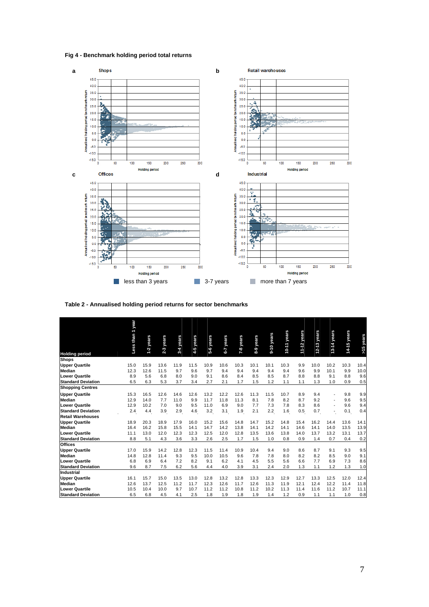**Fig 4 - Benchmark holding period total returns** 



**Table 2 - Annualised holding period returns for sector benchmarks** 

|                           | Less than 1 year |           |           |         |           |           |           |           |           |            |             |             |           |                          |             |           |
|---------------------------|------------------|-----------|-----------|---------|-----------|-----------|-----------|-----------|-----------|------------|-------------|-------------|-----------|--------------------------|-------------|-----------|
|                           |                  |           |           |         |           |           |           |           |           |            |             |             |           |                          |             |           |
|                           |                  |           |           |         |           | 5-6 years |           |           |           | 9-10 years | 10-11 years | 11-12 years | years     | 13-14 years              | 14-15 years | >15 years |
|                           |                  | 1-2 years | 2-3 years | years   | 4-5 years |           | 6-7 years | 7-8 years | 8-9 years |            |             |             |           |                          |             |           |
|                           |                  |           |           | $3 - 4$ |           |           |           |           |           |            |             |             | $12 - 13$ |                          |             |           |
| <b>Holding period</b>     |                  |           |           |         |           |           |           |           |           |            |             |             |           |                          |             |           |
| <b>Shops</b>              |                  |           |           |         |           |           |           |           |           |            |             |             |           |                          |             |           |
| <b>Upper Quartile</b>     | 15.0             | 15.9      | 13.6      | 11.9    | 11.5      | 10.9      | 10.6      | 10.3      | 10.1      | 10.1       | 10.3        | 9.9         | 10.0      | 10.2                     | 10.3        | 10.4      |
| <b>Median</b>             | 12.3             | 12.6      | 11.5      | 9.7     | 9.6       | 9.7       | 9.4       | 9.4       | 9.4       | 9.4        | 9.4         | 9.6         | 9.9       | 10.1                     | 9.9         | 10.0      |
| <b>Lower Quartile</b>     | 8.9              | 5.6       | 6.8       | 8.0     | 9.0       | 9.1       | 8.6       | 8.4       | 8.5       | 8.5        | 8.7         | 8.8         | 8.8       | 9.1                      | 8.8         | 9.6       |
| <b>Standard Deviation</b> | 6.5              | 6.3       | 5.3       | 3.7     | 3.4       | 2.7       | 2.1       | 1.7       | 1.5       | 1.2        | 1.1         | 1.1         | 1.3       | 1.0                      | 0.9         | 0.5       |
| <b>Shopping Centres</b>   |                  |           |           |         |           |           |           |           |           |            |             |             |           |                          |             |           |
| <b>Upper Quartile</b>     | 15.3             | 16.5      | 12.6      | 14.6    | 12.6      | 13.2      | 12.2      | 12.6      | 11.3      | 11.5       | 10.7        | 8.9         | 9.4       |                          | 9.8         | 9.9       |
| <b>Median</b>             | 12.9             | 14.0      | 7.7       | 11.0    | 9.9       | 11.7      | 11.8      | 11.3      | 8.1       | 7.8        | 8.2         | 8.7         | 9.2       |                          | 9.6         | 9.5       |
| <b>Lower Quartile</b>     | 12.9             | 10.2      | 7.0       | 9.0     | 9.5       | 11.0      | 6.9       | 9.0       | 7.7       | 7.3        | 7.8         | 8.3         | 8.6       |                          | 9.6         | 9.4       |
| <b>Standard Deviation</b> | 2.4              | 4.4       | 3.9       | 2.9     | 4.6       | 3.2       | 3.1       | 1.9       | 2.1       | 2.2        | 1.6         | 0.5         | 0.7       | $\overline{\phantom{a}}$ | 0.1         | 0.4       |
| <b>Retail Warehouses</b>  |                  |           |           |         |           |           |           |           |           |            |             |             |           |                          |             |           |
| <b>Upper Quartile</b>     | 18.9             | 20.3      | 18.9      | 17.9    | 16.0      | 15.2      | 15.6      | 14.8      | 14.7      | 15.2       | 14.8        | 15.4        | 16.2      | 14.4                     | 13.6        | 14.1      |
| <b>Median</b>             | 16.4             | 16.2      | 15.8      | 15.5    | 14.1      | 14.7      | 14.2      | 13.8      | 14.1      | 14.2       | 14.1        | 14.6        | 14.1      | 14.0                     | 13.5        | 13.9      |
| <b>Lower Quartile</b>     | 11.1             | 13.0      | 12.0      | 12.3    | 12.3      | 12.5      | 12.0      | 12.8      | 13.5      | 13.6       | 13.8        | 14.0        | 13.7      | 13.2                     | 13.1        | 13.7      |
| <b>Standard Deviation</b> | 8.8              | 5.1       | 4.3       | 3.6     | 3.3       | 2.6       | 2.5       | 1.7       | 1.5       | 1.0        | 0.8         | 0.9         | 1.4       | 0.7                      | 0.4         | 0.2       |
| <b>Offices</b>            |                  |           |           |         |           |           |           |           |           |            |             |             |           |                          |             |           |
| <b>Upper Quartile</b>     | 17.0             | 15.9      | 14.2      | 12.8    | 12.3      | 11.5      | 11.4      | 10.9      | 10.4      | 9.4        | 9.0         | 8.6         | 8.7       | 9.1                      | 9.3         | 9.5       |
| <b>Median</b>             | 14.8             | 12.8      | 11.4      | 9.3     | 9.5       | 10.0      | 10.5      | 9.6       | 7.8       | 7.8        | 8.0         | 8.2         | 8.2       | 8.5                      | 9.0         | 9.1       |
| <b>Lower Quartile</b>     | 6.8              | 6.9       | 6.4       | 7.2     | 8.2       | 9.1       | 6.2       | 4.1       | 4.5       | 5.5        | 5.6         | 6.6         | 7.7       | 6.9                      | 7.3         | 8.6       |
| <b>Standard Deviation</b> | 9.6              | 8.7       | 7.5       | 6.2     | 5.6       | 4.4       | 4.0       | 3.9       | 3.1       | 2.4        | 2.0         | 1.3         | 1.1       | 1.2                      | 1.3         | 1.0       |
| Industrial                |                  |           |           |         |           |           |           |           |           |            |             |             |           |                          |             |           |
| <b>Upper Quartile</b>     | 16.1             | 15.7      | 15.0      | 13.5    | 13.0      | 12.8      | 13.2      | 12.8      | 13.3      | 12.3       | 12.9        | 12.7        | 13.3      | 12.5                     | 12.0        | 12.4      |
| <b>Median</b>             | 12.6             | 13.7      | 12.5      | 11.2    | 11.7      | 12.3      | 12.6      | 11.7      | 12.6      | 11.3       | 11.9        | 12.1        | 12.4      | 12.2                     | 11.4        | 11.8      |
| <b>Lower Quartile</b>     | 10.5             | 10.4      | 10.0      | 9.7     | 10.7      | 11.2      | 11.2      | 10.8      | 11.2      | 10.2       | 11.3        | 11.4        | 11.6      | 11.2                     | 10.7        | 11.1      |
| <b>Standard Deviation</b> | 6.5              | 6.8       | 4.5       | 4.1     | 2.5       | 1.8       | 1.9       | 1.8       | 1.9       | 1.4        | 1.2         | 0.9         | 1.1       | 1.1                      | 1.0         | 0.8       |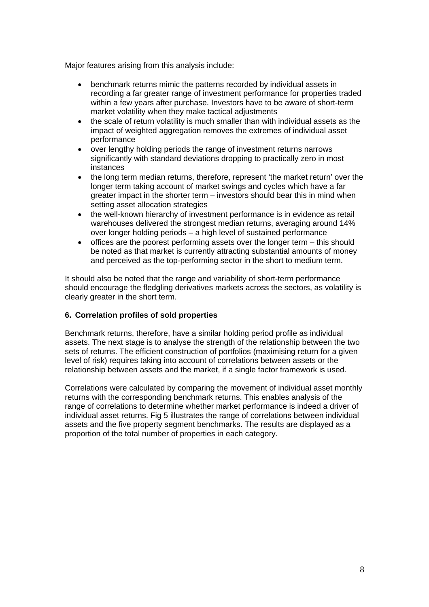Major features arising from this analysis include:

- benchmark returns mimic the patterns recorded by individual assets in recording a far greater range of investment performance for properties traded within a few years after purchase. Investors have to be aware of short-term market volatility when they make tactical adjustments
- the scale of return volatility is much smaller than with individual assets as the impact of weighted aggregation removes the extremes of individual asset performance
- over lengthy holding periods the range of investment returns narrows significantly with standard deviations dropping to practically zero in most instances
- the long term median returns, therefore, represent 'the market return' over the longer term taking account of market swings and cycles which have a far greater impact in the shorter term – investors should bear this in mind when setting asset allocation strategies
- the well-known hierarchy of investment performance is in evidence as retail warehouses delivered the strongest median returns, averaging around 14% over longer holding periods – a high level of sustained performance
- offices are the poorest performing assets over the longer term this should be noted as that market is currently attracting substantial amounts of money and perceived as the top-performing sector in the short to medium term.

It should also be noted that the range and variability of short-term performance should encourage the fledgling derivatives markets across the sectors, as volatility is clearly greater in the short term.

# **6. Correlation profiles of sold properties**

Benchmark returns, therefore, have a similar holding period profile as individual assets. The next stage is to analyse the strength of the relationship between the two sets of returns. The efficient construction of portfolios (maximising return for a given level of risk) requires taking into account of correlations between assets or the relationship between assets and the market, if a single factor framework is used.

Correlations were calculated by comparing the movement of individual asset monthly returns with the corresponding benchmark returns. This enables analysis of the range of correlations to determine whether market performance is indeed a driver of individual asset returns. Fig 5 illustrates the range of correlations between individual assets and the five property segment benchmarks. The results are displayed as a proportion of the total number of properties in each category.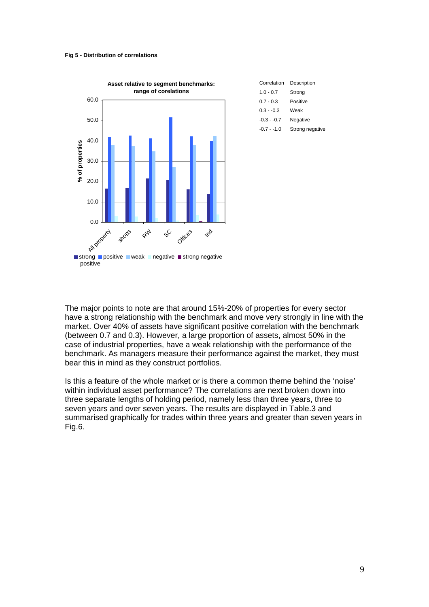#### **Fig 5 - Distribution of correlations**



| Correlation  | Description     |
|--------------|-----------------|
| $1.0 - 0.7$  | Strong          |
| $0.7 - 0.3$  | Positive        |
| $0.3 - 0.3$  | Weak            |
| $-0.3 - 0.7$ | Negative        |
| $-0.7 - 1.0$ | Strong negative |

The major points to note are that around 15%-20% of properties for every sector have a strong relationship with the benchmark and move very strongly in line with the market. Over 40% of assets have significant positive correlation with the benchmark (between 0.7 and 0.3). However, a large proportion of assets, almost 50% in the case of industrial properties, have a weak relationship with the performance of the benchmark. As managers measure their performance against the market, they must bear this in mind as they construct portfolios.

Is this a feature of the whole market or is there a common theme behind the 'noise' within individual asset performance? The correlations are next broken down into three separate lengths of holding period, namely less than three years, three to seven years and over seven years. The results are displayed in Table.3 and summarised graphically for trades within three years and greater than seven years in Fig.6.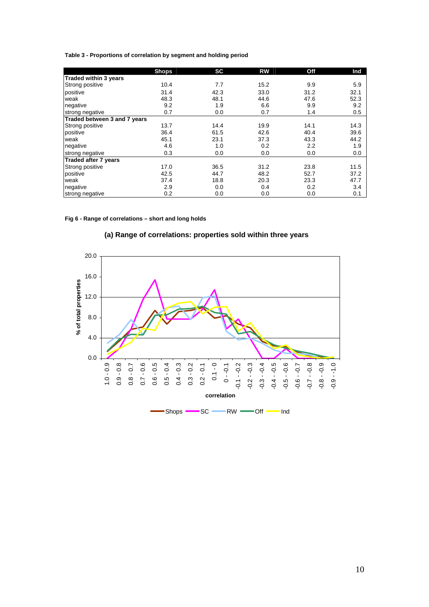| Table 3 - Proportions of correlation by segment and holding period |
|--------------------------------------------------------------------|
|--------------------------------------------------------------------|

|                              | <b>Shops</b> | <b>SC</b> | <b>RW</b> | Off  | Ind  |
|------------------------------|--------------|-----------|-----------|------|------|
| <b>Traded within 3 years</b> |              |           |           |      |      |
| <b>Strong positive</b>       | 10.4         | 7.7       | 15.2      | 9.9  | 5.9  |
| positive                     | 31.4         | 42.3      | 33.0      | 31.2 | 32.1 |
| weak                         | 48.3         | 48.1      | 44.6      | 47.6 | 52.3 |
| negative                     | 9.2          | 1.9       | 6.6       | 9.9  | 9.2  |
| strong negative              | 0.7          | 0.0       | 0.7       | 1.4  | 0.5  |
| Traded between 3 and 7 years |              |           |           |      |      |
| <b>Strong positive</b>       | 13.7         | 14.4      | 19.9      | 14.1 | 14.3 |
| positive                     | 36.4         | 61.5      | 42.6      | 40.4 | 39.6 |
| weak                         | 45.1         | 23.1      | 37.3      | 43.3 | 44.2 |
| negative                     | 4.6          | 1.0       | 0.2       | 2.2  | 1.9  |
| strong negative              | 0.3          | 0.0       | 0.0       | 0.0  | 0.0  |
| Traded after 7 years         |              |           |           |      |      |
| <b>Strong positive</b>       | 17.0         | 36.5      | 31.2      | 23.8 | 11.5 |
| positive                     | 42.5         | 44.7      | 48.2      | 52.7 | 37.2 |
| weak                         | 37.4         | 18.8      | 20.3      | 23.3 | 47.7 |
| negative                     | 2.9          | 0.0       | 0.4       | 0.2  | 3.4  |
| strong negative              | 0.2          | 0.0       | 0.0       | 0.0  | 0.1  |

#### **Fig 6 - Range of correlations – short and long holds**



# **(a) Range of correlations: properties sold within three years**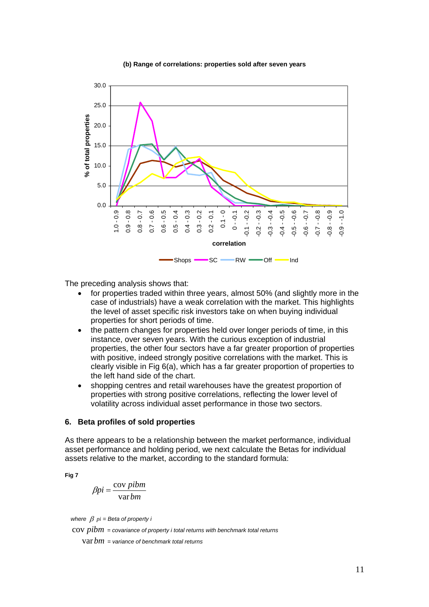#### **(b) Range of correlations: properties sold after seven years**



The preceding analysis shows that:

- for properties traded within three years, almost 50% (and slightly more in the case of industrials) have a weak correlation with the market. This highlights the level of asset specific risk investors take on when buying individual properties for short periods of time.
- the pattern changes for properties held over longer periods of time, in this instance, over seven years. With the curious exception of industrial properties, the other four sectors have a far greater proportion of properties with positive, indeed strongly positive correlations with the market. This is clearly visible in Fig 6(a), which has a far greater proportion of properties to the left hand side of the chart.
- shopping centres and retail warehouses have the greatest proportion of properties with strong positive correlations, reflecting the lower level of volatility across individual asset performance in those two sectors.

#### **6. Beta profiles of sold properties**

As there appears to be a relationship between the market performance, individual asset performance and holding period, we next calculate the Betas for individual assets relative to the market, according to the standard formula:

**Fig 7** 

$$
\beta p i = \frac{\text{cov } p i b m}{\text{var } b m}
$$

*where*  $\beta$   $pi$  = Beta of property *i* 

cov *pibm = covariance of property i total returns with benchmark total returns* 

var*bm = variance of benchmark total returns*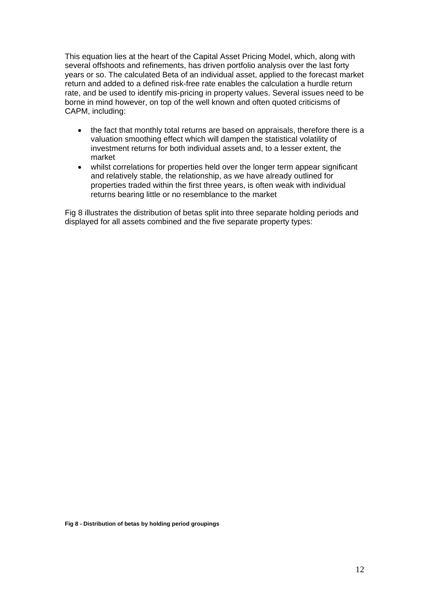This equation lies at the heart of the Capital Asset Pricing Model, which, along with several offshoots and refinements, has driven portfolio analysis over the last forty years or so. The calculated Beta of an individual asset, applied to the forecast market return and added to a defined risk-free rate enables the calculation a hurdle return rate, and be used to identify mis-pricing in property values. Several issues need to be borne in mind however, on top of the well known and often quoted criticisms of CAPM, including:

- the fact that monthly total returns are based on appraisals, therefore there is a valuation smoothing effect which will dampen the statistical volatility of investment returns for both individual assets and, to a lesser extent, the market
- whilst correlations for properties held over the longer term appear significant and relatively stable, the relationship, as we have already outlined for properties traded within the first three years, is often weak with individual returns bearing little or no resemblance to the market

Fig 8 illustrates the distribution of betas split into three separate holding periods and displayed for all assets combined and the five separate property types:

**Fig 8 - Distribution of betas by holding period groupings**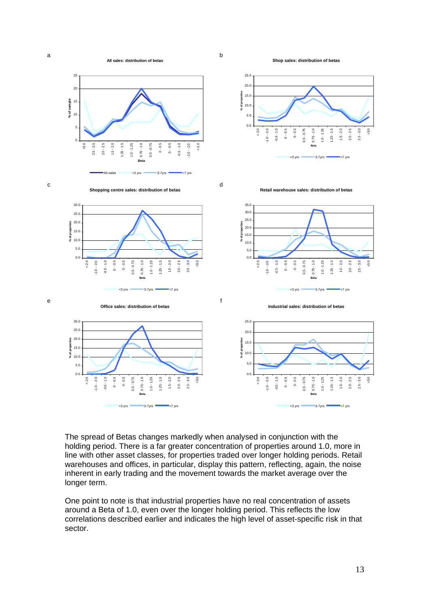

b

**Shop sales: distribution of betas**



The spread of Betas changes markedly when analysed in conjunction with the holding period. There is a far greater concentration of properties around 1.0, more in line with other asset classes, for properties traded over longer holding periods. Retail warehouses and offices, in particular, display this pattern, reflecting, again, the noise inherent in early trading and the movement towards the market average over the longer term.

One point to note is that industrial properties have no real concentration of assets around a Beta of 1.0, even over the longer holding period. This reflects the low correlations described earlier and indicates the high level of asset-specific risk in that sector.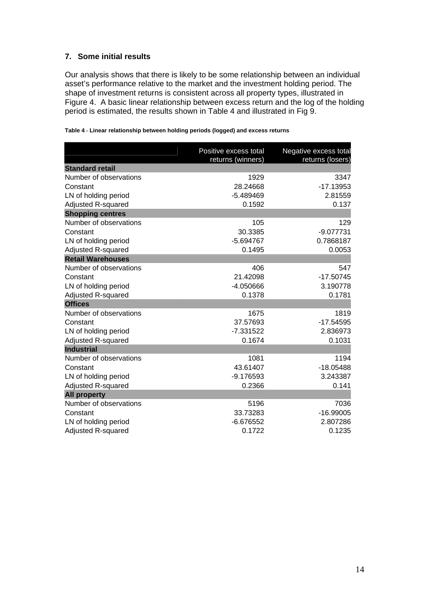# **7. Some initial results**

Our analysis shows that there is likely to be some relationship between an individual asset's performance relative to the market and the investment holding period. The shape of investment returns is consistent across all property types, illustrated in Figure 4. A basic linear relationship between excess return and the log of the holding period is estimated, the results shown in Table 4 and illustrated in Fig 9.

|  |  |  |  | Table 4 - Linear relationship between holding periods (logged) and excess returns |  |
|--|--|--|--|-----------------------------------------------------------------------------------|--|
|  |  |  |  |                                                                                   |  |

|                          | Positive excess total<br>returns (winners) | Negative excess total<br>returns (losers) |
|--------------------------|--------------------------------------------|-------------------------------------------|
| <b>Standard retail</b>   |                                            |                                           |
| Number of observations   | 1929                                       | 3347                                      |
| Constant                 | 28.24668                                   | $-17.13953$                               |
| LN of holding period     | -5.489469                                  | 2.81559                                   |
| Adjusted R-squared       | 0.1592                                     | 0.137                                     |
| <b>Shopping centres</b>  |                                            |                                           |
| Number of observations   | 105                                        | 129                                       |
| Constant                 | 30.3385                                    | $-9.077731$                               |
| LN of holding period     | -5.694767                                  | 0.7868187                                 |
| Adjusted R-squared       | 0.1495                                     | 0.0053                                    |
| <b>Retail Warehouses</b> |                                            |                                           |
| Number of observations   | 406                                        | 547                                       |
| Constant                 | 21.42098                                   | $-17.50745$                               |
| LN of holding period     | -4.050666                                  | 3.190778                                  |
| Adjusted R-squared       | 0.1378                                     | 0.1781                                    |
| <b>Offices</b>           |                                            |                                           |
| Number of observations   | 1675                                       | 1819                                      |
| Constant                 | 37.57693                                   | $-17.54595$                               |
| LN of holding period     | $-7.331522$                                | 2.836973                                  |
| Adjusted R-squared       | 0.1674                                     | 0.1031                                    |
| <b>Industrial</b>        |                                            |                                           |
| Number of observations   | 1081                                       | 1194                                      |
| Constant                 | 43.61407                                   | $-18.05488$                               |
| LN of holding period     | $-9.176593$                                | 3.243387                                  |
| Adjusted R-squared       | 0.2366                                     | 0.141                                     |
| <b>All property</b>      |                                            |                                           |
| Number of observations   | 5196                                       | 7036                                      |
| Constant                 | 33.73283                                   | $-16.99005$                               |
| LN of holding period     | $-6.676552$                                | 2.807286                                  |
| Adjusted R-squared       | 0.1722                                     | 0.1235                                    |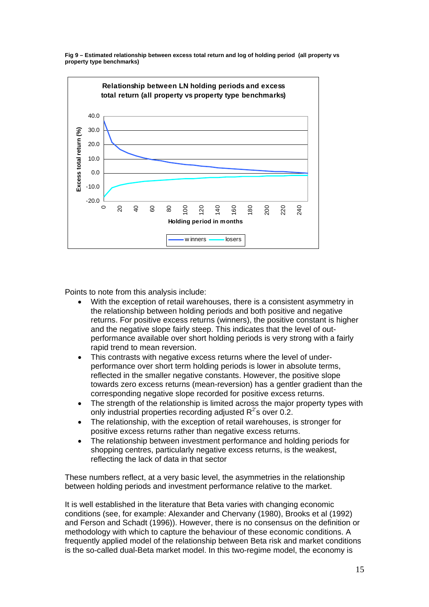



Points to note from this analysis include:

- With the exception of retail warehouses, there is a consistent asymmetry in the relationship between holding periods and both positive and negative returns. For positive excess returns (winners), the positive constant is higher and the negative slope fairly steep. This indicates that the level of outperformance available over short holding periods is very strong with a fairly rapid trend to mean reversion.
- This contrasts with negative excess returns where the level of underperformance over short term holding periods is lower in absolute terms, reflected in the smaller negative constants. However, the positive slope towards zero excess returns (mean-reversion) has a gentler gradient than the corresponding negative slope recorded for positive excess returns.
- The strength of the relationship is limited across the major property types with only industrial properties recording adjusted  $R^2$ 's over 0.2.
- The relationship, with the exception of retail warehouses, is stronger for positive excess returns rather than negative excess returns.
- The relationship between investment performance and holding periods for shopping centres, particularly negative excess returns, is the weakest, reflecting the lack of data in that sector

These numbers reflect, at a very basic level, the asymmetries in the relationship between holding periods and investment performance relative to the market.

It is well established in the literature that Beta varies with changing economic conditions (see, for example: Alexander and Chervany (1980), Brooks et al (1992) and Ferson and Schadt (1996)). However, there is no consensus on the definition or methodology with which to capture the behaviour of these economic conditions. A frequently applied model of the relationship between Beta risk and market conditions is the so-called dual-Beta market model. In this two-regime model, the economy is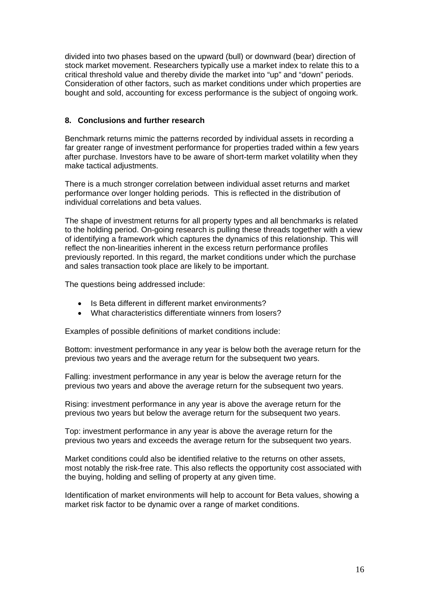divided into two phases based on the upward (bull) or downward (bear) direction of stock market movement. Researchers typically use a market index to relate this to a critical threshold value and thereby divide the market into "up" and "down" periods. Consideration of other factors, such as market conditions under which properties are bought and sold, accounting for excess performance is the subject of ongoing work.

# **8. Conclusions and further research**

Benchmark returns mimic the patterns recorded by individual assets in recording a far greater range of investment performance for properties traded within a few years after purchase. Investors have to be aware of short-term market volatility when they make tactical adjustments.

There is a much stronger correlation between individual asset returns and market performance over longer holding periods. This is reflected in the distribution of individual correlations and beta values.

The shape of investment returns for all property types and all benchmarks is related to the holding period. On-going research is pulling these threads together with a view of identifying a framework which captures the dynamics of this relationship. This will reflect the non-linearities inherent in the excess return performance profiles previously reported. In this regard, the market conditions under which the purchase and sales transaction took place are likely to be important.

The questions being addressed include:

- Is Beta different in different market environments?
- What characteristics differentiate winners from losers?

Examples of possible definitions of market conditions include:

Bottom: investment performance in any year is below both the average return for the previous two years and the average return for the subsequent two years.

Falling: investment performance in any year is below the average return for the previous two years and above the average return for the subsequent two years.

Rising: investment performance in any year is above the average return for the previous two years but below the average return for the subsequent two years.

Top: investment performance in any year is above the average return for the previous two years and exceeds the average return for the subsequent two years.

Market conditions could also be identified relative to the returns on other assets, most notably the risk-free rate. This also reflects the opportunity cost associated with the buying, holding and selling of property at any given time.

Identification of market environments will help to account for Beta values, showing a market risk factor to be dynamic over a range of market conditions.